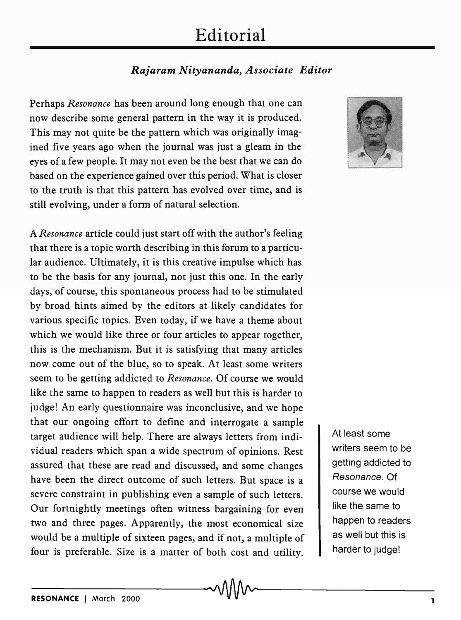## **Editorial**

## *Rajaram Nityananda, Associate Editor*

Perhaps *Resonance* has been around long enough that one can now describe some general pattern in the way it is produced. This may not quite be the pattern which was originally imagined five years ago when the journal was just a gleam in the eyes of a few people. It may not even be the best that we can do based on the experience gained over this period. What is closer to the truth is that this pattern has evolved over time, and is still evolving, under a form of natural selection.

A *Resonance* article could just start off with the author's feeling that there is a topic worth describing in this forum to a particular audience. Ultimately, it is this creative impulse which has to be the basis for any journal, not just this one. In the early days, of course, this spontaneous process had to be stimulated by broad hints aimed by the editors at likely candidates for various specific topics. Even today, if we have a theme about which we would like three or four articles to appear together, this is the mechanism. But it is satisfying that many articles now come out of the blue, so to speak. At least some writers seem to be getting addicted to *Resonance.* Of course we would like the same to happen to readers as well but this is harder to judge! An early questionnaire was inconclusive, and we hope that our ongoing effort to define and interrogate a sample target audience will help. There are always letters from individual readers which span a wide spectrum of opinions. Rest assured that these are read and discussed, and some changes have been the direct outcome of such letters. But space is a severe constraint in publishing even a sample of such letters. Our fortnightly meetings often witness bargaining for even two and three pages. Apparently, the most economical size would be a multiple of sixteen pages, and if not, a multiple of four is preferable. Size is a matter of both cost and utility.



At least some writers seem to be getting addicted to *Resonance.* Of course we would like the same to happen to readers as well but this is harder to judge!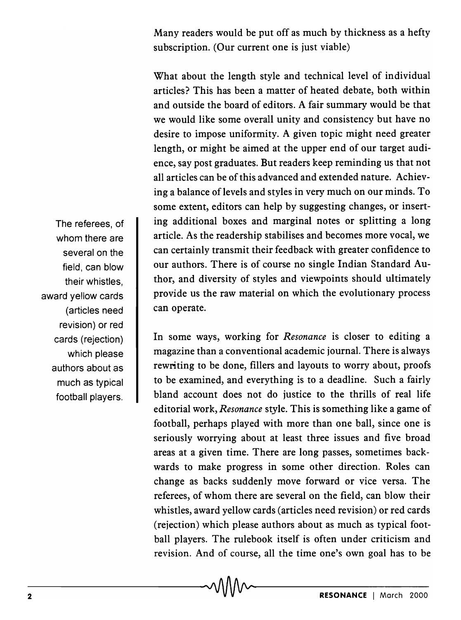Many readers would be put off as much by thickness as a hefty subscription. (Our current one is just viable)

What about the length style and technical level of individual articles? This has been a matter of heated debate, both within and outside the board of editors. A fair summary would be that we would like some overall unity and consistency but have no desire to impose uniformity. A given topic might need greater length, or might be aimed at the upper end of our target audience, say post graduates. But readers keep reminding us that not all articles can be of this advanced and extended nature. Achieving a balance of levels and styles in very much on our minds. To some extent, editors can help by suggesting changes, or inserting additional boxes and marginal notes or splitting a long article. As the readership stabilises and becomes more vocal, we can certainly transmit their feedback with greater confidence to our authors. There is of course no single Indian Standard Author, and diversity of styles and viewpoints should ultimately provide us the raw material on which the evolutionary process can operate.

In some ways, working for *Resonance* is closer to editing a magazine than a conventional academic journal. There is always rewriting to be done, fillers and layouts to worry about, proofs to be examined, and everything is to a deadline. Such a fairly bland account does not do justice to the thrills of real life editorial work, *Resonance* style. This is something like a game of football, perhaps played with more than one ball, since one is seriously worrying about at least three issues and five broad areas at a given time. There are long passes, sometimes backwards to make progress in some other direction. Roles can change as backs suddenly move forward or vice versa. The referees, of whom there are several on the field, can blow their whistles, award yellow cards (articles need revision) or red cards (rejection) which please authors about as much as typical football players. The rulebook itself is often under criticism and revision. And of course, all the time one's own goal has to be

The referees, of whom there are several on the field, can blow their whistles, award yellow cards (articles need revision) or red cards (rejection) which please authors about as much as typical football players.